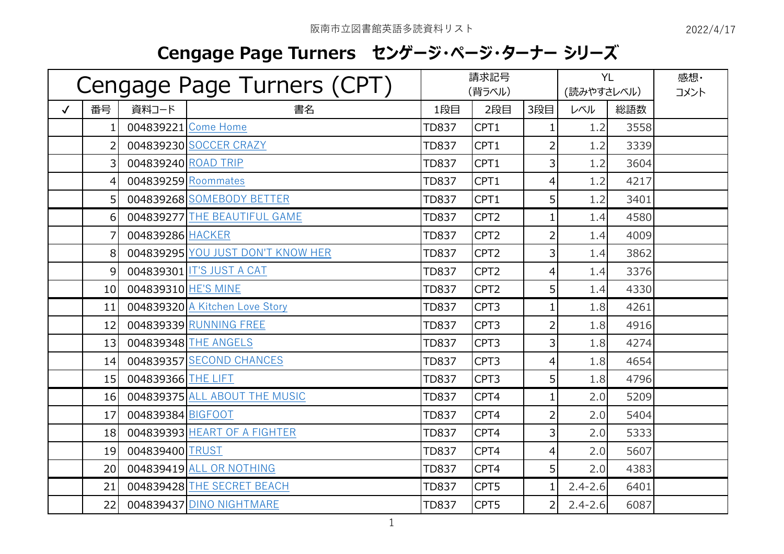## **Cengage Page Turners センゲージ・ページ・ターナー シリーズ**

| Cengage Page Turners (CPT) |                 |                     | 請求記号<br>(背ラベル)                    |              |                  | <b>YL</b><br>(読みやすさレベル) |             | 感想・<br>コメント |  |
|----------------------------|-----------------|---------------------|-----------------------------------|--------------|------------------|-------------------------|-------------|-------------|--|
| $\checkmark$               | 番号              | 資料コード               | 書名                                | 1段目          | 2段目              | 3段目                     | レベル         | 総語数         |  |
|                            |                 |                     | 004839221 Come Home               | <b>TD837</b> | CPT1             | 1                       | 1.2         | 3558        |  |
|                            | 2               |                     | 004839230 SOCCER CRAZY            | <b>TD837</b> | CPT1             | 2                       | 1.2         | 3339        |  |
|                            | 3               | 004839240 ROAD TRIP |                                   | <b>TD837</b> | CPT1             | 3                       | 1.2         | 3604        |  |
|                            | 4               | 004839259 Roommates |                                   | <b>TD837</b> | CPT1             | 4                       | 1.2         | 4217        |  |
|                            | 5 <sup>1</sup>  |                     | 004839268 SOMEBODY BETTER         | <b>TD837</b> | CPT1             | 5                       | 1.2         | 3401        |  |
|                            | $6 \mid$        |                     | 004839277 THE BEAUTIFUL GAME      | <b>TD837</b> | CPT <sub>2</sub> | $\mathbf{1}$            | 1.4         | 4580        |  |
|                            |                 | 004839286 HACKER    |                                   | <b>TD837</b> | CPT <sub>2</sub> | $\overline{2}$          | 1.4         | 4009        |  |
|                            | 8               |                     | 004839295 YOU JUST DON'T KNOW HER | <b>TD837</b> | CPT <sub>2</sub> | 3                       | 1.4         | 3862        |  |
|                            | 9               |                     | 004839301 IT'S JUST A CAT         | <b>TD837</b> | CPT <sub>2</sub> | $\overline{4}$          | 1.4         | 3376        |  |
|                            | 10 <sup>1</sup> | 004839310 HE'S MINE |                                   | <b>TD837</b> | CPT <sub>2</sub> | 5                       | 1.4         | 4330        |  |
|                            | 11              |                     | 004839320 A Kitchen Love Story    | <b>TD837</b> | CPT3             | $\mathbf{1}$            | 1.8         | 4261        |  |
|                            | 12              |                     | 004839339 RUNNING FREE            | <b>TD837</b> | CPT3             | 2                       | 1.8         | 4916        |  |
|                            | 13              |                     | 004839348 THE ANGELS              | <b>TD837</b> | CPT3             | 3                       | 1.8         | 4274        |  |
|                            | 14              |                     | 004839357 SECOND CHANCES          | <b>TD837</b> | CPT3             | 4                       | 1.8         | 4654        |  |
|                            | 15              | 004839366 THE LIFT  |                                   | <b>TD837</b> | CPT3             | 5                       | 1.8         | 4796        |  |
|                            | 16              |                     | 004839375 ALL ABOUT THE MUSIC     | <b>TD837</b> | CPT4             | $\mathbf{1}$            | 2.0         | 5209        |  |
|                            | 17              | 004839384 BIGFOOT   |                                   | <b>TD837</b> | CPT4             | $\overline{2}$          | 2.0         | 5404        |  |
|                            | 18              |                     | 004839393 HEART OF A FIGHTER      | <b>TD837</b> | CPT4             | 3                       | 2.0         | 5333        |  |
|                            | 19              | 004839400 TRUST     |                                   | <b>TD837</b> | CPT4             | 4                       | 2.0         | 5607        |  |
|                            | 20 <sup>1</sup> |                     | 004839419 ALL OR NOTHING          | <b>TD837</b> | CPT4             | 5                       | 2.0         | 4383        |  |
|                            | 21              |                     | 004839428 THE SECRET BEACH        | <b>TD837</b> | CPT5             | 1                       | $2.4 - 2.6$ | 6401        |  |
|                            | 22              |                     | 004839437 DINO NIGHTMARE          | <b>TD837</b> | CPT5             | 2                       | $2.4 - 2.6$ | 6087        |  |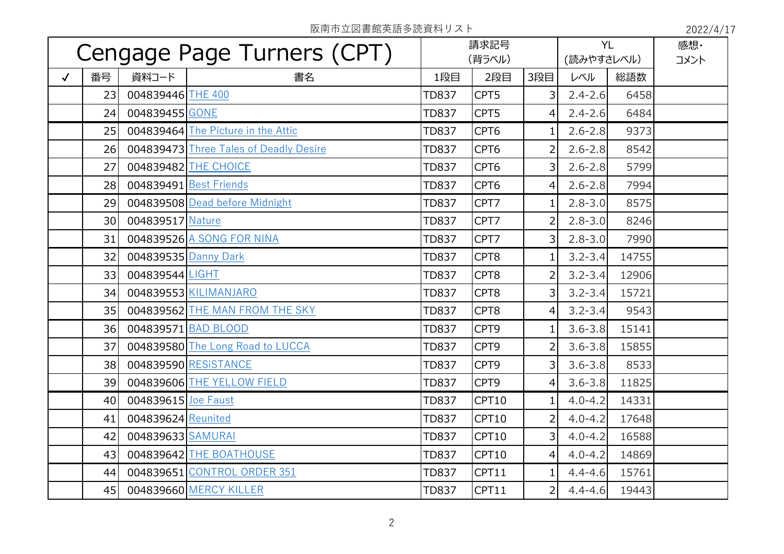阪南市立図書館英語多読資料リスト 2022/4/17

| Cengage Page Turners (CPT) |    |                      | 請求記号<br>(背ラベル)                         |              | <b>YL</b><br>(読みやすさレベル) |                | 感想·<br>コメント |       |  |
|----------------------------|----|----------------------|----------------------------------------|--------------|-------------------------|----------------|-------------|-------|--|
| $\checkmark$               | 番号 | 資料コード                | 書名                                     | 1段目          | 2段目                     | 3段目            | レベル         | 総語数   |  |
|                            | 23 | 004839446 THE 400    |                                        | <b>TD837</b> | CPT5                    | 3              | $2.4 - 2.6$ | 6458  |  |
|                            | 24 | 004839455 GONE       |                                        | <b>TD837</b> | CPT5                    | 4              | $2.4 - 2.6$ | 6484  |  |
|                            | 25 |                      | 004839464 The Picture in the Attic     | <b>TD837</b> | CPT6                    | 1              | $2.6 - 2.8$ | 9373  |  |
|                            | 26 |                      | 004839473 Three Tales of Deadly Desire | <b>TD837</b> | CPT6                    | 2              | $2.6 - 2.8$ | 8542  |  |
|                            | 27 |                      | 004839482 THE CHOICE                   | <b>TD837</b> | CPT6                    | 3              | $2.6 - 2.8$ | 5799  |  |
|                            | 28 |                      | 004839491 Best Friends                 | <b>TD837</b> | CPT6                    | 4              | $2.6 - 2.8$ | 7994  |  |
|                            | 29 |                      | 004839508 Dead before Midnight         | <b>TD837</b> | CPT7                    | 1              | $2.8 - 3.0$ | 8575  |  |
|                            | 30 | 004839517 Nature     |                                        | <b>TD837</b> | CPT7                    | $\overline{2}$ | $2.8 - 3.0$ | 8246  |  |
|                            | 31 |                      | 004839526 A SONG FOR NINA              | <b>TD837</b> | CPT7                    | 3              | $2.8 - 3.0$ | 7990  |  |
|                            | 32 | 004839535 Danny Dark |                                        | <b>TD837</b> | CPT8                    | 1              | $3.2 - 3.4$ | 14755 |  |
|                            | 33 | 004839544 LIGHT      |                                        | <b>TD837</b> | CPT8                    | $\overline{2}$ | $3.2 - 3.4$ | 12906 |  |
|                            | 34 |                      | 004839553 KILIMANJARO                  | <b>TD837</b> | CPT8                    | 3              | $3.2 - 3.4$ | 15721 |  |
|                            | 35 |                      | 004839562 THE MAN FROM THE SKY         | <b>TD837</b> | CPT8                    | 4              | $3.2 - 3.4$ | 9543  |  |
|                            | 36 |                      | 004839571 BAD BLOOD                    | <b>TD837</b> | CPT9                    | $\mathbf{1}$   | $3.6 - 3.8$ | 15141 |  |
|                            | 37 |                      | 004839580 The Long Road to LUCCA       | <b>TD837</b> | CPT9                    | 2              | $3.6 - 3.8$ | 15855 |  |
|                            | 38 |                      | 004839590 RESISTANCE                   | <b>TD837</b> | CPT9                    | 3              | $3.6 - 3.8$ | 8533  |  |
|                            | 39 |                      | 004839606 THE YELLOW FIELD             | <b>TD837</b> | CPT9                    | 4              | $3.6 - 3.8$ | 11825 |  |
|                            | 40 | 004839615 Joe Faust  |                                        | <b>TD837</b> | CPT10                   |                | $4.0 - 4.2$ | 14331 |  |
|                            | 41 | 004839624 Reunited   |                                        | <b>TD837</b> | CPT10                   | $\overline{2}$ | $4.0 - 4.2$ | 17648 |  |
|                            | 42 | 004839633 SAMURAI    |                                        | <b>TD837</b> | CPT10                   | 3              | $4.0 - 4.2$ | 16588 |  |
|                            | 43 |                      | 004839642 THE BOATHOUSE                | <b>TD837</b> | CPT10                   | $\overline{4}$ | $4.0 - 4.2$ | 14869 |  |
|                            | 44 |                      | 004839651 CONTROL ORDER 351            | <b>TD837</b> | CPT11                   | 1              | $4.4 - 4.6$ | 15761 |  |
|                            | 45 |                      | 004839660 MERCY KILLER                 | <b>TD837</b> | CPT11                   | $\overline{2}$ | $4.4 - 4.6$ | 19443 |  |